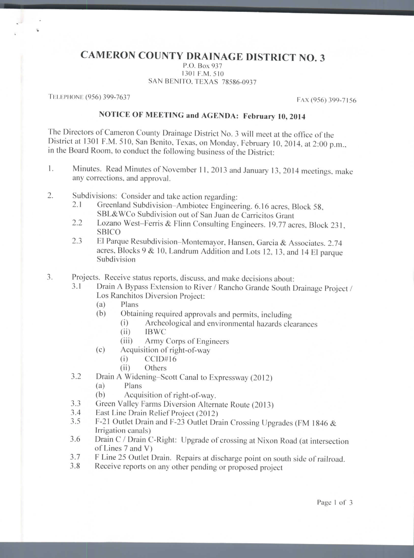## **CAMERON COUNTY DRAINAGE DISTRICT NO. 3**

P.O. Box 937 1301 P.M. 510 SAN BENITO, TEXAS 78586-0937

TELEPHONE (956) 399-7637 **PAX (956) 399-7156** 

## **NOTICE OF MEETING and AGENDA: February 10,** 2014

The Directors of Cameron County Drainage District No. 3 will meet at the office of the District at 1301 P.M. 510, San Benito, Texas, on Monday, February 10, 2014, at 2:00 p.m.. in the Board Room, to conduct the following business of the District:

- 1. Minutes. Read Minutes of November 11, 2013 and January 13, 2014 meetings, make any corrections, and approval.
- 2. Subdivisions: Consider and take action regarding:
	- 2.1 Greenland Subdivision-Ambiotec Engineering. 6.16 acres, Block 58, SBL&WCo Subdivision out of San Juan de Carricitos Grant
	- 2.2 Lozano West-Ferris & Flinn Consulting Engineers. 19.77 acres, Block 231, SBICO
	- 2.3 El Parque Resubdivision-Montemayor, Hansen, Garcia & Associates. 2.74 acres. Blocks 9 & 10, Landrum Addition and Lots 12. 13, and 14 El parque Subdivision

3. Projects. Receive status reports, discuss, and make decisions about:

- 3.1 Drain A Bypass Extension to River / Rancho Grande South Drainage Project / Los Ranchitos Diversion Project:
	- (a) Plans
	- (b) Obtaining required approvals and permits, including
		- (i) Archeological and environmental hazards clearances
		- (ii) IBWC
		- (iii) Army Corps of Engineers
	- (c) Acquisition of right-of-way
		- (i) CCID#16
		- (ii) Others
- 3.2 Drain A Widening-Scott Canal to Expressway (2012)
	- (a) Plans
	- (b) Acquisition of right-of-way.
- 3.3 Green Valley Farms Diversion Alternate Route (2013)
- 3.4 East Line Drain Relief Project (2012)
- 3.5 F-21 Outlet Drain and F-23 Outlet Drain Crossing Upgrades (FM 1846 & Irrigation canals)
- 3.6 Drain C / Drain C-Right: Upgrade of crossing at Nixon Road (at intersection of Lines 7 and V)
- 3.7 F Line 25 Outlet Drain. Repairs at discharge point on south side of railroad.
- 3.8 Receive reports on any other pending or proposed project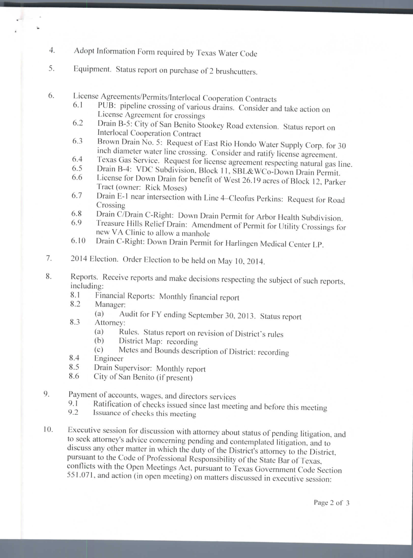- 4. Adopt Information Form required by Texas Water Code
- 5. Equipment. Status report on purchase of 2 brushcutters.
- 6. License Agreements/Permits/Interlocal Cooperation Contracts
	- 6.1 PUB: pipeline crossing of various drains. Consider and take action on License Agreement for crossings
	- 6.2 Drain B-5: City of San Benito Stookey Road extension. Status report on Interlocal Cooperation Contract
	- 6.3 Brown Drain No. 5: Request of East Rio Hondo Water Supply Corp. for 30 inch diameter water line crossing. Consider and ratify license agreement.
	- 6.4 Texas Gas Service. Request for license agreement respecting natural gas line.
	- 6.5 Drain B-4: VDC Subdivision, Block 11, SBL&WCo-Down Drain Permit.
	- 6.6 License for Down Drain for benefit of West 26.19 acres of Block 12, Parker Tract (owner: Rick Moses)
	- 6.7 Drain E-1 near intersection with Line 4–Cleofus Perkins: Request for Road Crossing
	- 6.8 Drain C/Drain C-Right: Down Drain Permit for Arbor Health Subdivision.
	- 6.9 Treasure Hills Relief Drain: Amendment of Permit for Utility Crossings for new VA Clinic to allow a manhole
	- 6.10 Drain C-Right: Down Drain Permit for Harlingen Medical Center LP.
- 7. 2014 Election. Order Election to be held on May 10, 2014.
- 8. Reports. Receive reports and make decisions respecting the subject of such reports, including:
	- 8.1 Financial Reports: Monthly financial report
	- 8.2 Manager:

z.

- (a) Audit for FY ending September 30, 2013. Status report
- 8.3 Attorney:
	- (a) Rules. Status report on revision of District's rules
	- (b) District Map: recording
	- (c) Metes and Bounds description of District: recording
- 8.4 Engineer
- 8.5 Drain Supervisor: Monthly report
- 8.6 City of San Benito (if present)
- 9. Payment of accounts, wages, and directors services
	- 9.1 Ratification of checks issued since last meeting and before this meeting
	- 9.2 Issuance of checks this meeting
- 10. Executive session for discussion with attorney about status of pending litigation, and to seek attorney's advice concerning pending and contemplated litigation, and to discuss any other matter in which the duty of the District's attorney to the District, pursuant to the Code of Professional Responsibility of the State Bar of Texas, conflicts with the Open Meetings Act, pursuant to Texas Government Code Section 551.071. and action (in open meeting) on matters discussed in executive session: